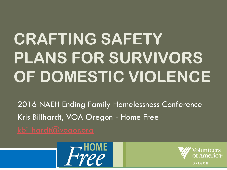# **CRAFTING SAFETY PLANS FOR SURVIVORS OF DOMESTIC VIOLENCE**

2016 NAEH Ending Family Homelessness Conference Kris Billhardt, VOA Oregon - Home Free



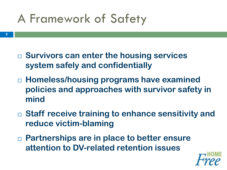## A Framework of Safety

- **Survivors can enter the housing services system safely and confidentially**
- **Homeless/housing programs have examined policies and approaches with survivor safety in mind**
- **Staff receive training to enhance sensitivity and reduce victim-blaming**
- **Partnerships are in place to better ensure attention to DV-related retention issues**

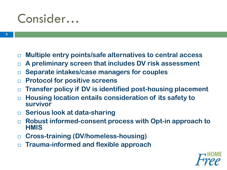#### Consider…

- **Multiple entry points/safe alternatives to central access**
- **A preliminary screen that includes DV risk assessment**
- **Separate intakes/case managers for couples**
- **Protocol for positive screens**
- **Transfer policy if DV is identified post-housing placement**
- **Housing location entails consideration of its safety to survivor**
- **Serious look at data-sharing**
- **Robust informed-consent process with Opt-in approach to HMIS**
- **Cross-training (DV/homeless-housing)**
- **Trauma-informed and flexible approach**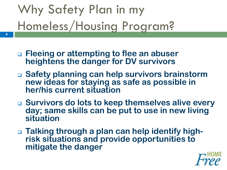# Why Safety Plan in my Homeless/Housing Program?

**4**

- **Fleeing or attempting to flee an abuser heightens the danger for DV survivors**
- **Safety planning can help survivors brainstorm new ideas for staying as safe as possible in her/his current situation**
- **Survivors do lots to keep themselves alive every day; same skills can be put to use in new living situation**
- **Talking through a plan can help identify highrisk situations and provide opportunities to mitigate the danger**

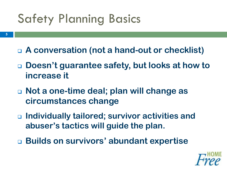## Safety Planning Basics

- **A conversation (not a hand-out or checklist)**
- **Doesn't guarantee safety, but looks at how to increase it**
- **Not a one-time deal; plan will change as circumstances change**
- **Individually tailored; survivor activities and abuser's tactics will guide the plan.**
- **Builds on survivors' abundant expertise**

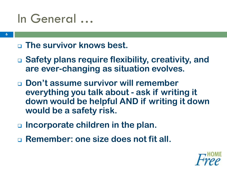#### In General …

#### **The survivor knows best.**

- **Safety plans require flexibility, creativity, and are ever-changing as situation evolves.**
- **Don't assume survivor will remember everything you talk about - ask if writing it down would be helpful AND if writing it down would be a safety risk.**
- **Incorporate children in the plan.**
- **Remember: one size does not fit all.**

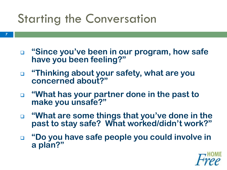### Starting the Conversation

- **7**
- **"Since you've been in our program, how safe have you been feeling?"**
- **"Thinking about your safety, what are you concerned about?"**
- **"What has your partner done in the past to make you unsafe?"**
- **"What are some things that you've done in the past to stay safe? What worked/didn't work?"**
- **"Do you have safe people you could involve in a plan?"**

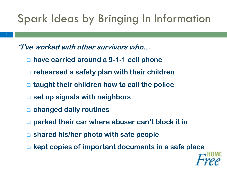#### Spark Ideas by Bringing In Information

**"I've worked with other survivors who…**

- **have carried around a 9-1-1 cell phone**
- **rehearsed a safety plan with their children**
- **taught their children how to call the police**
- **set up signals with neighbors**
- **changed daily routines**
- **parked their car where abuser can't block it in**
- **shared his/her photo with safe people**
- **kept copies of important documents in a safe place**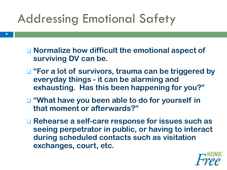## Addressing Emotional Safety

- Normalize how difficult the emotional aspect of **surviving DV can be.**
- **"For a lot of survivors, trauma can be triggered by everyday things - it can be alarming and exhausting. Has this been happening for you?"**
- "What have you been able to do for yourself in **that moment or afterwards?"**
- **Rehearse a self-care response for issues such as seeing perpetrator in public, or having to interact during scheduled contacts such as visitation exchanges, court, etc.**

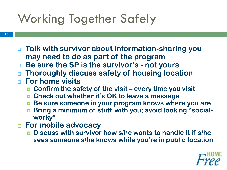# Working Together Safely

**10**

- **Talk with survivor about information-sharing you may need to do as part of the program**
- **Be sure the SP is the survivor's - not yours**
- **Thoroughly discuss safety of housing location**
- **For home visits**
	- Confirm the safety of the visit every time you visit
	- **Check out whether it's OK to leave a message**
	- **Be sure someone in your program knows where you are**
	- **Bring a minimum of stuff with you; avoid looking "socialworky"**
- **For mobile advocacy**
	- **Discuss with survivor how s/he wants to handle it if s/he sees someone s/he knows while you're in public location**